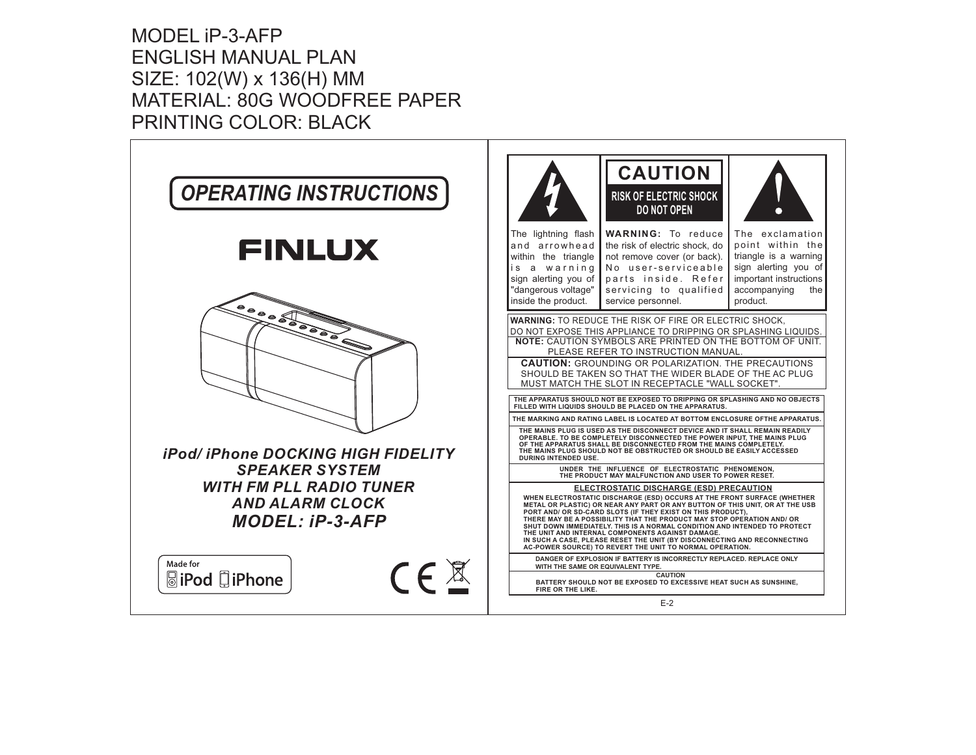MODEL iP-3-AFPENGLISH MANUAL PLAN SIZE: 102(W) <sup>x</sup> 136(H) MM MATERIAL: 80G WOODFREE PAPER PRINTING COLOR: BLACK

| <b>OPERATING INSTRUCTIONS</b>                                                                | <b>CAUTION</b><br><b>RISK OF ELECTRIC SHOCK</b><br>DO NOT OPEN                                                                                                                                                                                                                                                                                                                                                                                                                                                                                                                                                                                                                                                                                                                                                                                                        |
|----------------------------------------------------------------------------------------------|-----------------------------------------------------------------------------------------------------------------------------------------------------------------------------------------------------------------------------------------------------------------------------------------------------------------------------------------------------------------------------------------------------------------------------------------------------------------------------------------------------------------------------------------------------------------------------------------------------------------------------------------------------------------------------------------------------------------------------------------------------------------------------------------------------------------------------------------------------------------------|
| <b>FINLUX</b>                                                                                | The lightning flash<br><b>WARNING:</b> To reduce<br>The exclamation<br>and arrowhead<br>the risk of electric shock, do<br>point within the<br>triangle is a warning<br>within the triangle<br>not remove cover (or back).<br>No user-serviceable<br>sign alerting you of<br>a warning<br>i s<br>sign alerting you of<br>parts inside. Refer<br>important instructions<br>"dangerous voltage"<br>servicing to qualified<br>accompanying<br>the<br>inside the product.<br>service personnel.<br>product.                                                                                                                                                                                                                                                                                                                                                                |
| $\overbrace{\phantom{a}}^{\bullet}\circ\circ\circ\overbrace{\phantom{a}}^{\bullet}$          | WARNING: TO REDUCE THE RISK OF FIRE OR ELECTRIC SHOCK,<br>DO NOT EXPOSE THIS APPLIANCE TO DRIPPING OR SPLASHING LIQUIDS.<br><b>NOTE:</b> CAUTION SYMBOLS ARE PRINTED ON THE BOTTOM OF UNIT.<br>PLEASE REFER TO INSTRUCTION MANUAL.<br><b>CAUTION:</b> GROUNDING OR POLARIZATION. THE PRECAUTIONS<br>SHOULD BE TAKEN SO THAT THE WIDER BLADE OF THE AC PLUG<br>MUST MATCH THE SLOT IN RECEPTACLE "WALL SOCKET".<br>THE APPARATUS SHOULD NOT BE EXPOSED TO DRIPPING OR SPLASHING AND NO OBJECTS<br>FILLED WITH LIQUIDS SHOULD BE PLACED ON THE APPARATUS.<br>THE MARKING AND RATING LABEL IS LOCATED AT BOTTOM ENCLOSURE OFTHE APPARATUS<br>THE MAINS PLUG IS USED AS THE DISCONNECT DEVICE AND IT SHALL REMAIN READILY<br>OPERABLE. TO BE COMPLETELY DISCONNECTED THE POWER INPUT, THE MAINS PLUG<br>OF THE APPARATUS SHALL BE DISCONNECTED FROM THE MAINS COMPLETELY. |
| iPod/iPhone DOCKING HIGH FIDELITY<br><b>SPEAKER SYSTEM</b><br><b>WITH FM PLL RADIO TUNER</b> | THE MAINS PLUG SHOULD NOT BE OBSTRUCTED OR SHOULD BE EASILY ACCESSED<br><b>DURING INTENDED USE.</b><br>UNDER THE INFLUENCE OF ELECTROSTATIC PHENOMENON,<br>THE PRODUCT MAY MALFUNCTION AND USER TO POWER RESET.<br>ELECTROSTATIC DISCHARGE (ESD) PRECAUTION                                                                                                                                                                                                                                                                                                                                                                                                                                                                                                                                                                                                           |
| <b>AND ALARM CLOCK</b><br><b>MODEL: iP-3-AFP</b>                                             | WHEN ELECTROSTATIC DISCHARGE (ESD) OCCURS AT THE FRONT SURFACE (WHETHER<br>METAL OR PLASTIC) OR NEAR ANY PART OR ANY BUTTON OF THIS UNIT, OR AT THE USB<br>PORT AND/ OR SD-CARD SLOTS (IF THEY EXIST ON THIS PRODUCT),<br>THERE MAY BE A POSSIBILITY THAT THE PRODUCT MAY STOP OPERATION AND/ OR<br>SHUT DOWN IMMEDIATELY. THIS IS A NORMAL CONDITION AND INTENDED TO PROTECT<br>THE UNIT AND INTERNAL COMPONENTS AGAINST DAMAGE.<br>IN SUCH A CASE, PLEASE RESET THE UNIT (BY DISCONNECTING AND RECONNECTING<br>AC-POWER SOURCE) TO REVERT THE UNIT TO NORMAL OPERATION.                                                                                                                                                                                                                                                                                             |
| Made for<br>$C \in \mathbb{X}$<br><b>SiPod</b> DiPhone                                       | DANGER OF EXPLOSION IF BATTERY IS INCORRECTLY REPLACED. REPLACE ONLY<br>WITH THE SAME OR EQUIVALENT TYPE.<br><b>CAUTION</b><br>BATTERY SHOULD NOT BE EXPOSED TO EXCESSIVE HEAT SUCH AS SUNSHINE,<br>FIRE OR THE LIKE.                                                                                                                                                                                                                                                                                                                                                                                                                                                                                                                                                                                                                                                 |
|                                                                                              | $E-2$                                                                                                                                                                                                                                                                                                                                                                                                                                                                                                                                                                                                                                                                                                                                                                                                                                                                 |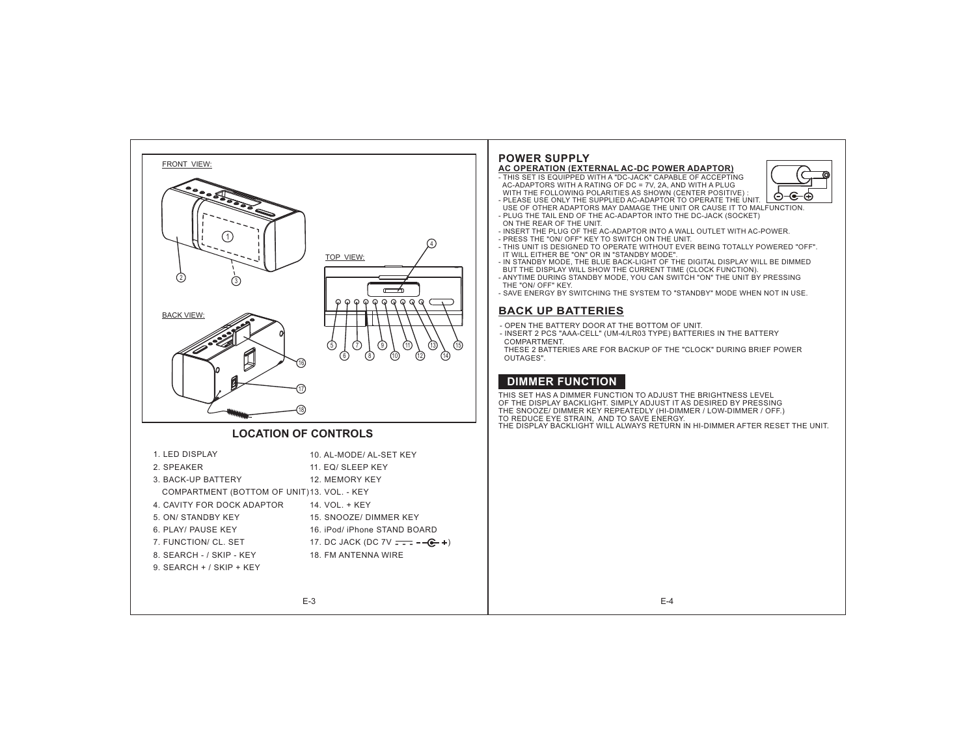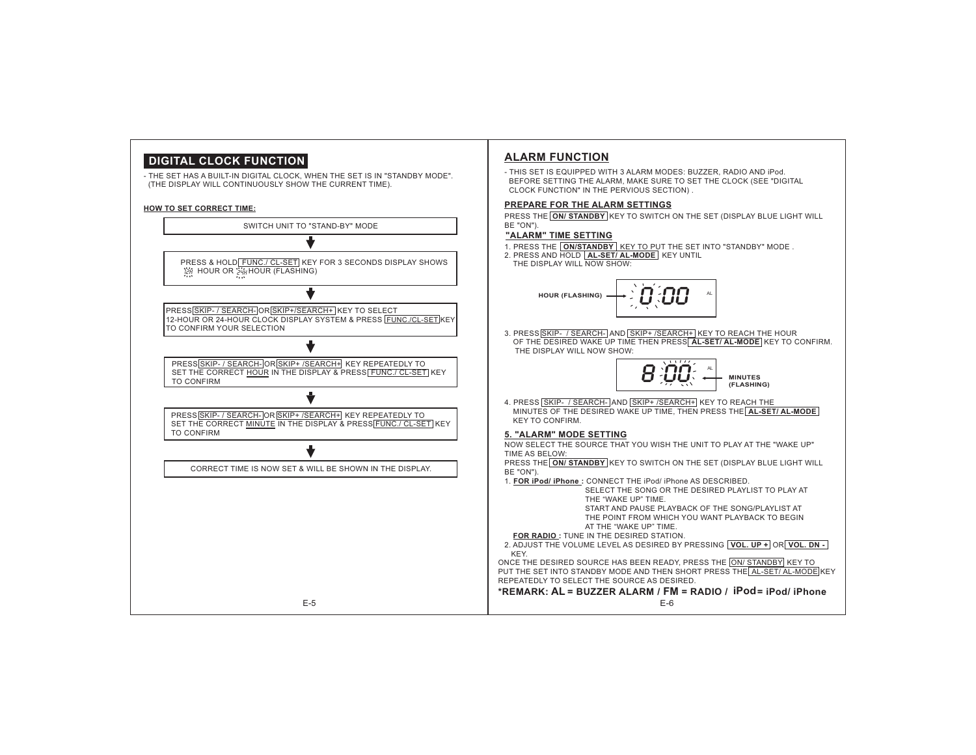## **DIGITAL CLOCK FUNCTION**

- THE SET HAS A BUILT-IN DIGITAL CLOCK, WHEN THE SET IS IN "STANDBY MODE". (THE DISPLAY WILL CONTINUOUSLY SHOW THE CURRENT TIME).

E-5

#### **HOW TO SET CORRECT TIME:**



### **ALARM FUNCTION**

- THIS SET IS EQUIPPED WITH 3 ALARM MODES: BUZZER, RADIO AND iPod. BEFORE SETTING THE ALARM, MAKE SURE TO SET THE CLOCK (SEE "DIGITAL CLOCK FUNCTION" IN THE PERVIOUS SECTION) .

#### **PREPARE FOR THE ALARM SETTINGS**

PRESS THE LON/ STANDBY KEY TO SWITCH ON THE SET (DISPLAY BLUE LIGHT WILL

1. PRESS THE LON/STANDBY | KEY TO PUT THE SET INTO "STANDBY" MODE .

2. PRESS AND HOLD **AL-SET/ AL-MODE** KEY UNTIL



3. PRESS SKIP- / SEARCH- AND SKIP+ / SEARCH+ KEY TO REACH THE HOUR OF THE DESIRED WAKE UP TIME THEN PRESS AL-SET/ AL-MODE KEY TO CONFIRM. THE DISPLAY WILL NOW SHOW:



4. PRESS SKIP- / SEARCH- AND SKIP+ / SEARCH+ KEY TO REACH THE MINUTES OF THE DESIRED WAKE UP TIME, THEN PRESS THE **AL-SET/ AL-MODE**

#### **5. "ALARM" MODE SETTING**

NOW SELECT THE SOURCE THAT YOU WISH THE UNIT TO PLAY AT THE "WAKE UP"

PRESS THE KEY TO SWITCH ON THE SET (DISPLAY BLUE LIGHT WILL **ON/ STANDBY**

1. CONNECT THE iPod/ iPhone AS DESCRIBED.**:FOR iPod/ iPhone**

 SELECT THE SONG OR THE DESIRED PLAYLIST TO PLAY ATTHE"WAKE UP" TIME.START AND PAUSE PLAYBACK OF THE SONG/PLAYLIST AT

THE POINT FROM WHICH YOU WANT PLAYBACK TO BEGINAT THE "WAKE UP" TIME.

 $FOR$  **RADIO**: TUNE IN THE DESIRED STATION.

 $\overline{X}$  ADJUST THE VOLUME LEVEL AS DESIRED BY PRESSING  $\overline{VOL. \, UP}$  +  $\overline{OR}$   $\overline{VOL. \, DN}$  -

ONCE THE DESIRED SOURCE HAS BEEN READY, PRESS THE ON/ STANDBY KEY TO PUT THE SET INTO STANDBY MODE AND THEN SHORT PRESS THE AL-SET/ AL-MODE KEY REPEATEDLY TO SELECT THE SOURCE AS DESIRED.

## \*REMARK: AL = BUZZER ALARM / FM = RADIO / <code>iPod=</code> iPod/ iPhone

E-6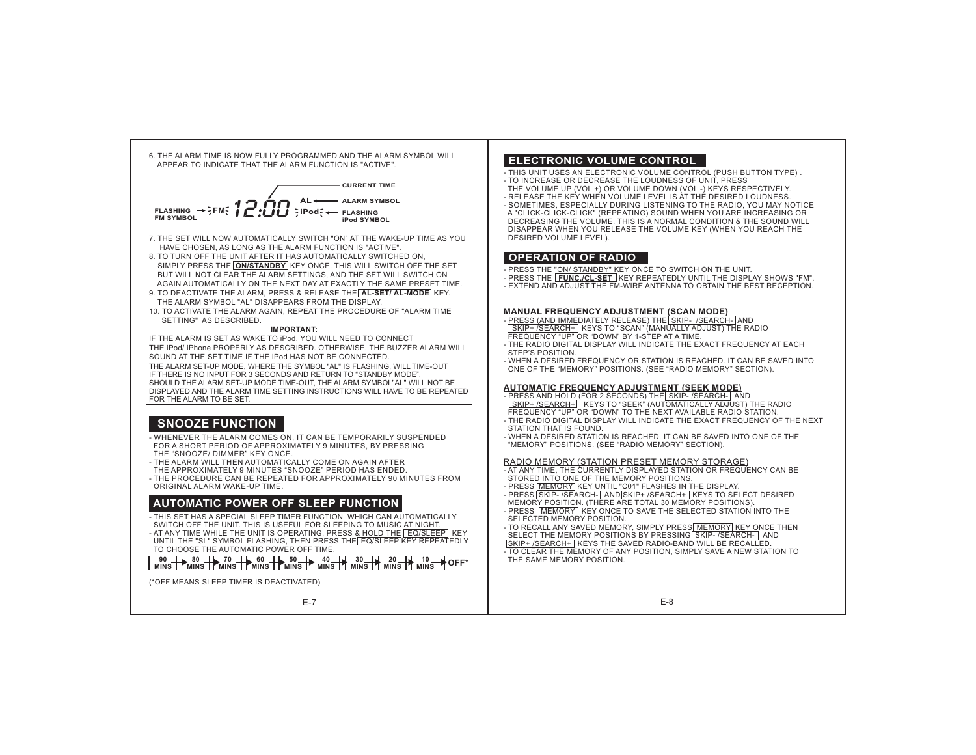



- 7. THE SET WILL NOW AUTOMATICALLY SWITCH "ON" AT THE WAKE-UP TIME AS YOUHAVE CHOSEN, AS LONG AS THE ALARM FUNCTION IS "ACTIVE".
- 8. TO TURN OFF THE UNIT AFTER IT HAS AUTOMATICALLY SWITCHED ON, SIMPLY PRESS THE I **ON/STANDBY** I KEY ONCE. THIS WILL SWITCH OFF THE SET BUT WILL NOT CLEAR THE ALARM SETTINGS, AND THE SET WILL SWITCH ON AGAIN AUTOMATICALLY ON THE NEXT DAY AT EXACTLY THE SAME PRESET TIME.
- 9. TO DEACTIVATE THE ALARM, PRESS & RELEASE THE LAL-SET/ AL-MODE KEY. THE ALARM SYMBOL "AL" DISAPPEARS FROM THE DISPLAY.
- 10. TO ACTIVATE THE ALARM AGAIN, REPEAT THE PROCEDURE OF "ALARM TIME SETTING" AS DESCRIBED.

#### **IMPORTANT:**

IF THE ALARM IS SET AS WAKE TO iPod, YOU WILL NEED TO CONNECT THE iPod/ iPhone PROPERLY AS DESCRIBED. OTHERWISE, THE BUZZER ALARM WILL SOUND AT THE SET TIME IF THE iPod HAS NOT BE CONNECTED. THE ALARM SET-UP MODE, WHERE THE SYMBOL "AL" IS FLASHING, WILL TIME-OUT IF THERE IS NO INPUT FOR 3 SECONDS AND RETURN TO "STANDBY MODE". SHOULD THE ALARM SET-UP MODE TIME-OUT, THE ALARM SYMBOL"AL" WILL NOT BE DISPLAYED AND THE ALARM TIME SETTING INSTRUCTIONS WILL HAVE TO BE REPEATEDFOR THE ALARM TO BE SET.

## **SNOOZE FUNCTION**

- WHENEVER THE ALARM COMES ON, IT CAN BE TEMPORARILY SUSPENDED FOR A SHORT PERIOD OF APPROXIMATELY 9 MINUTES, BY PRESSING THE "SNOOZE/ DIMMER" KEY ONCE.
- THE ALARM WILL THEN AUTOMATICALLY COME ON AGAIN AFTER
- THE APPROXIMATELY 9 MINUTES "SNOOZE" PERIOD HAS ENDED.
- THE PROCEDURE CAN BE REPEATED FOR APPROXIMATELY 90 MINUTES FROM ORIGINAL ALARM WAKE-UP TIME.

#### **AUTOMATIC POWER OFF SLEEP FUNCTION**

- THIS SET HAS A SPECIAL SLEEP TIMER FUNCTION WHICH CAN AUTOMATICALLY SWITCH OFF THE UNIT. THIS IS USEFUL FOR SLEEPING TO MUSIC AT NIGHT.
- AT ANY TIME WHILE THE UNIT IS OPERATING, PRESS <u>& HOLD THE [EQ/SLEEP]</u> KEY<br>UNTIL THE "SL" SYMBOL FLASHING, THEN PRESS THE[EQ/SLEEP]KEY REPEATEDLY
- TO CHOOSE THE AUTOMATIC POWER OFF TIME.

## **MINS**<br> **MINS MINS MINS MINS MINS MINS MINS MINS MINS MINS MINS MINS MINS MINS MINS MINS MINS MINS MINS MINS MINS MINS MINS MINS**

(\*OFF MEANS SLEEP TIMER IS DEACTIVATED)

E-7

#### **ELECTRONIC VOLUME CONTROL**

- THIS UNIT USES AN ELECTRONIC VOLUME CONTROL (PUSH BUTTON TYPE) . - TO INCREASE OR DECREASE THE LOUDNESS OF UNIT, PRESS
- THE VOLUME UP (VOL +) OR VOLUME DOWN (VOL -) KEYS RESPECTIVELY. - RELEASE THE KEY WHEN VOLUME LEVEL IS AT THE DESIRED LOUDNESS.
- SOMETIMES, ESPECIALLY DURING LISTENING TO THE RADIO, YOU MAY NOTICE A "CLICK-CLICK-CLICK" (REPEATING) SOUND WHEN YOU ARE INCREASING OR DECREASING THE VOLUME. THIS IS A NORMAL CONDITION & THE SOUND WILL DISAPPEAR WHEN YOU RELEASE THE VOLUME KEY (WHEN YOU REACH THE DESIRED VOLUME LEVEL).

#### **OPERATION OF RADIO**

- PRESS THE <u>"ON/ STANDBY" K</u>EY ONCE TO SWITCH ON THE UNIT.
- PRESS THE [<mark>FUNC./CL-SET</mark> ] KEY REPEATEDLY UNTIL THE DISPLAY SHOWS "FM".
- EXTEND AND ADJUST THE FM-WIRE ANTENNA TO OBTAIN THE BEST RECEPTION.

#### **MANUAL FREQUENCY ADJUSTMENT (SCAN MODE)**

- PRESS (AND IMMEDIATELY RELEASE) THE| SKIP- /SEARCH-|AND SKIP+ /SEARCH+ KEYS TO "SCAN" (MANUALLY ADJUST) THE RADIO FREQUENCY "UP" OR "DOWN" BY 1-STEP AT A TIME.
- THE RADIO DIGITAL DISPLAY WILL INDICATE THE EXACT FREQUENCY AT EACHSTEP'S POSITION.
- WHEN A DESIRED FREQUENCY OR STATION IS REACHED. IT CAN BE SAVED INTOONE OF THE "MEMORY" POSITIONS. (SEE "RADIO MEMORY" SECTION).

#### **AUTOMATIC FREQUENCY ADJUSTMENT (SEEK MODE)**

- <u>PRESS AND HOLD</u> (FOR 2 SECONDS) THE<u>| SKIP- /SEARCH- |</u> AND<br>| <u>SKIP+ /SEARCH+</u> | KEYS TO "SEEK" (AUTOMATICALLY ADJUST) THE RADIO FREQUENCY "UP" OR "DOWN" TO THE NEXT AVAILABLE RADIO STATION.
- THE RADIO DIGITAL DISPLAY WILL INDICATE THE EXACT FREQUENCY OF THE NEXTSTATION THAT IS FOUND.
- WHEN A DESIRED STATION IS REACHED. IT CAN BE SAVED INTO ONE OF THE"MEMORY" POSITIONS. (SEE "RADIO MEMORY" SECTION).

#### RADIO MEMORY (STATION PRESET MEMORY STORAGE)

- AT ANY TIME, THE CURRENTLY DISPLAYED STATION OR FREQUENCY CAN BE STORED INTO ONE OF THE MEMORY POSITIONS.
- PRESS **MEMORY KEY UNTIL "C01" FLASHES IN THE DISPLAY.** - PRESS SKIP- /SEARCH- AND SKIP+ /SEARCH+ KEYS TO SELECT DESIRED
- MEMORY POSITION. (THERE ARE TOTAL 30 MEMORY POSITIONS).
- PRESS <u>|MEMORY |</u> KEY ONCE TO SAVE THE SELECTED STATION INTO THE<br>|SELECTED MEMORY POSITION. - TO RECALL ANY SAVED MEMORY, SIMPLY PRESS MEMORY KEY ONCE THEN
- SELECT THE MEMORY POSITIONS BY PRESSING SKIP- / SEARCH- AND SKIP+ /SEARCH+ KEYS THE SAVED RADIO-BAND WILL BE RECALLED.
- TO CLEAR THE MEMORY OF ANY POSITION, SIMPLY SAVE A NEW STATION TO THE SAME MEMORY POSITION.

E-8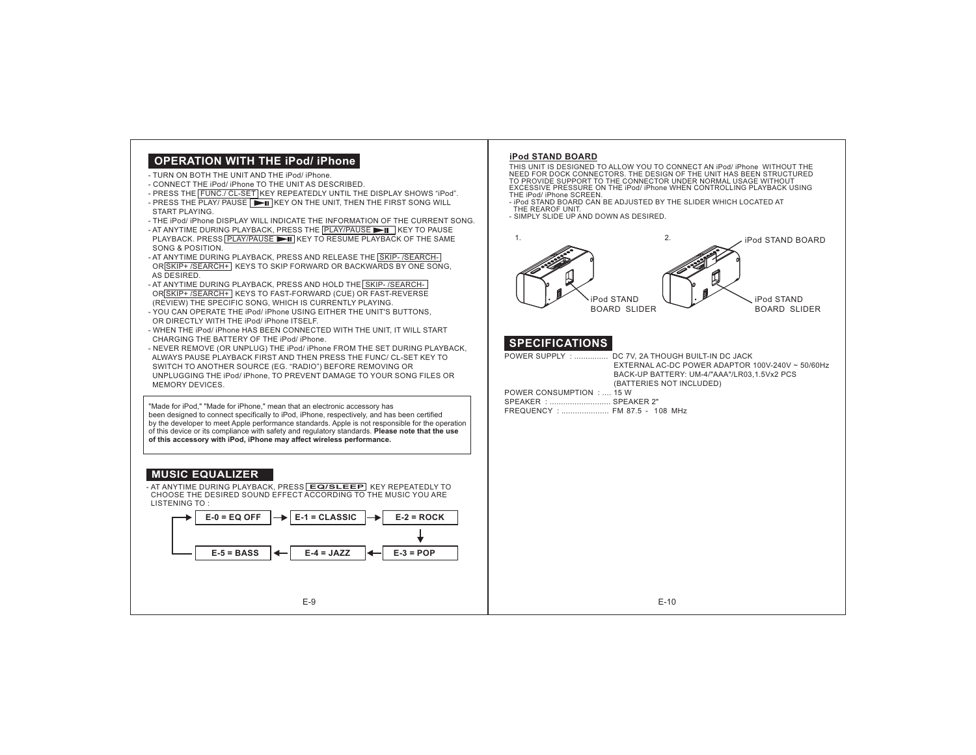## **OPERATION WITH THE iPod/ iPhone**

- TURN ON BOTH THE UNIT AND THE iPod/ iPhone.
- CONNECT THE IPod/ IPhone TO THE UNIT AS DESCRIBED.
- PRESS THE FUNC./ CL-SET KEY REPEATEDLY UNTIL THE DISPLAY SHOWS "iPod".
- PRESS THE PLAY/ PAUSE  $|\blacktriangleright\!\!\!\!\!\!\parallel$  in every on the unit, then the first song will START PLAYING.
- THE iPod/ iPhone DISPLAY WILL INDICATE THE INFORMATION OF THE CURRENT SONG.
- AT ANYTIME DURING PLAYBACK, PRESS THE **PLAY/PAUSE IN TH** KEY TO PAUSE PLAYBACK. PRESS <u>[PLAY/PAUSE ▶Ⅱ</u>] KEY TO RESUME PLAYBACK OF THE SAME SONG & POSITION.
- AT ANYTIME DURING PLAYBACK, PRESS AND RELEASE THE SKIP- /SEARCH-OR SKIP+ / SEARCH+ KEYS TO SKIP FORWARD OR BACKWARDS BY ONE SONG. AS DESIRED.
- AT ANYTIME DURING PLAYBACK, PRESS AND HOLD THE SKIP- / SEARCH-OR SKIP+ / SEARCH+ KEYS TO FAST-FORWARD (CUE) OR FAST-REVERSE (REVIEW) THE SPECIFIC SONG, WHICH IS CURRENTLY PLAYING.
- YOU CAN OPERATE THE iPod/ iPhone USING EITHER THE UNIT'S BUTTONS, OR DIRECTLY WITH THE iPod/ iPhone ITSELF.
- WHEN THE IPod/ IPhone HAS BEEN CONNECTED WITH THE UNIT, IT WILL START CHARGING THE BATTERY OF THE iPod/ iPhone.
- NEVER REMOVE (OR UNPLUG) THE iPod/ iPhone FROM THE SET DURING PLAYBACK, ALWAYS PAUSE PLAYBACK FIRST AND THEN PRESS THE FUNC/ CL-SET KEY TO SWITCH TO ANOTHER SOURCE (EG. "RADIO") BEFORE REMOVING OR UNPLUGGING THE iPod/ iPhone, TO PREVENT DAMAGE TO YOUR SONG FILES OR MEMORY DEVICES.

"Made for iPod," "Made for iPhone," mean that an electronic accessory has been designed to connect specifically to iPod, iPhone, respectively, and has been certified by the developer to meet Apple performance standards. Apple is not responsible for the operation of this device or its compliance with safety and regulatory standards. **Please note that the use of this accessory with iPod, iPhone may affect wireless performance.**

### **MUSIC EQUALIZER**

- AT ANYTIME DURING PLAYBACK, PRESS **EQ/SLEEP** KEY REPEATEDLY TO CHOOSE THE DESIRED SOUND EFFECT ACCORDING TO THE MUSIC YOU ARELISTENING TO :



#### **iPod STAND BOARD**

THIS UNIT IS DESIGNED TO ALLOW YOU TO CONNECT AN iPod/ iPhone WITHOUT THE NEED FOR DOCK CONNECTORS. THE DESIGN OF THE UNIT HAS BEEN STRUCTURED TO PROVIDE SUPPORT TO THE CONNECTOR UNDER NORMAL USAGE WITHOUTEXCESSIVE PRESSURE ON THE iPod/ iPhone WHEN CONTROLLING PLAYBACK USING THE iPod/ iPhone SCREEN.

 - iPod STAND BOARD CAN BE ADJUSTED BY THE SLIDER WHICH LOCATED AT THE REAROF UNIT.

- SIMPLY SLIDE UP AND DOWN AS DESIRED.